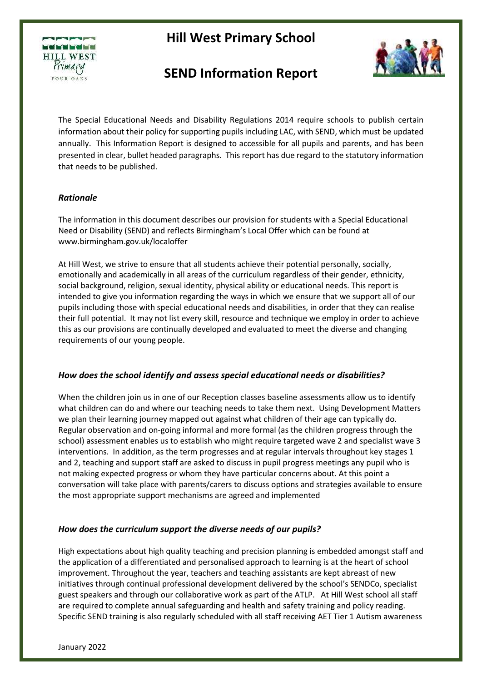

# **SEND Information Report**



The Special Educational Needs and Disability Regulations 2014 require schools to publish certain information about their policy for supporting pupils including LAC, with SEND, which must be updated annually. This Information Report is designed to accessible for all pupils and parents, and has been presented in clear, bullet headed paragraphs. This report has due regard to the statutory information that needs to be published.

### *Rationale*

The information in this document describes our provision for students with a Special Educational Need or Disability (SEND) and reflects Birmingham's Local Offer which can be found at www.birmingham.gov.uk/localoffer

At Hill West, we strive to ensure that all students achieve their potential personally, socially, emotionally and academically in all areas of the curriculum regardless of their gender, ethnicity, social background, religion, sexual identity, physical ability or educational needs. This report is intended to give you information regarding the ways in which we ensure that we support all of our pupils including those with special educational needs and disabilities, in order that they can realise their full potential. It may not list every skill, resource and technique we employ in order to achieve this as our provisions are continually developed and evaluated to meet the diverse and changing requirements of our young people.

### *How does the school identify and assess special educational needs or disabilities?*

When the children join us in one of our Reception classes baseline assessments allow us to identify what children can do and where our teaching needs to take them next. Using Development Matters we plan their learning journey mapped out against what children of their age can typically do. Regular observation and on-going informal and more formal (as the children progress through the school) assessment enables us to establish who might require targeted wave 2 and specialist wave 3 interventions. In addition, as the term progresses and at regular intervals throughout key stages 1 and 2, teaching and support staff are asked to discuss in pupil progress meetings any pupil who is not making expected progress or whom they have particular concerns about. At this point a conversation will take place with parents/carers to discuss options and strategies available to ensure the most appropriate support mechanisms are agreed and implemented

### *How does the curriculum support the diverse needs of our pupils?*

High expectations about high quality teaching and precision planning is embedded amongst staff and the application of a differentiated and personalised approach to learning is at the heart of school improvement. Throughout the year, teachers and teaching assistants are kept abreast of new initiatives through continual professional development delivered by the school's SENDCo, specialist guest speakers and through our collaborative work as part of the ATLP. At Hill West school all staff are required to complete annual safeguarding and health and safety training and policy reading. Specific SEND training is also regularly scheduled with all staff receiving AET Tier 1 Autism awareness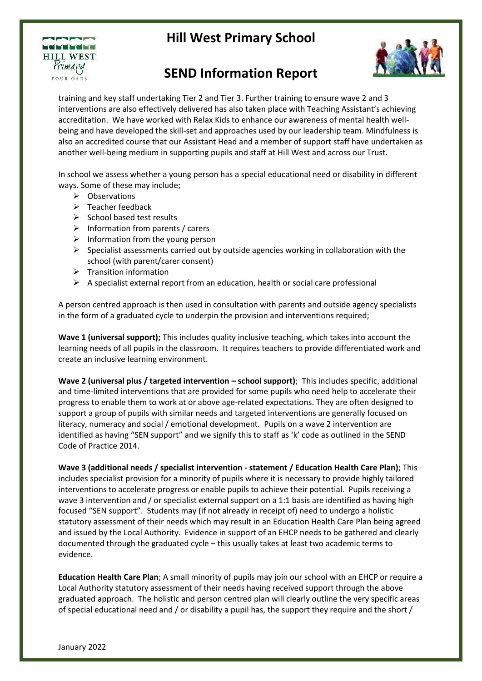

# **SEND Information Report**

training and key staff undertaking Tier 2 and Tier 3. Further training to ensure wave 2 and 3 interventions are also effectively delivered has also taken place with Teaching Assistant's achieving accreditation. We have worked with Relax Kids to enhance our awareness of mental health wellbeing and have developed the skill-set and approaches used by our leadership team. Mindfulness is also an accredited course that our Assistant Head and a member of support staff have undertaken as another well-being medium in supporting pupils and staff at Hill West and across our Trust.

In school we assess whether a young person has a special educational need or disability in different ways. Some of these may include;

- $\triangleright$  Observations
- $\triangleright$  Teacher feedback
- $\triangleright$  School based test results
- $\triangleright$  Information from parents / carers
- $\triangleright$  Information from the young person
- $\triangleright$  Specialist assessments carried out by outside agencies working in collaboration with the school (with parent/carer consent)
- $\triangleright$  Transition information
- $\triangleright$  A specialist external report from an education, health or social care professional

A person centred approach is then used in consultation with parents and outside agency specialists in the form of a graduated cycle to underpin the provision and interventions required;

**Wave 1 (universal support);** This includes quality inclusive teaching, which takes into account the learning needs of all pupils in the classroom. It requires teachers to provide differentiated work and create an inclusive learning environment.

**Wave 2 (universal plus / targeted intervention – school support); This includes specific, additional** and time-limited interventions that are provided for some pupils who need help to accelerate their progress to enable them to work at or above age-related expectations. They are often designed to support a group of pupils with similar needs and targeted interventions are generally focused on literacy, numeracy and social / emotional development. Pupils on a wave 2 intervention are identified as having "SEN support" and we signify this to staff as 'k' code as outlined in the SEND Code of Practice 2014.

**Wave 3 (additional needs / specialist intervention - statement / Education Health Care Plan)**; This includes specialist provision for a minority of pupils where it is necessary to provide highly tailored interventions to accelerate progress or enable pupils to achieve their potential. Pupils receiving a wave 3 intervention and / or specialist external support on a 1:1 basis are identified as having high focused "SEN support". Students may (if not already in receipt of) need to undergo a holistic statutory assessment of their needs which may result in an Education Health Care Plan being agreed and issued by the Local Authority. Evidence in support of an EHCP needs to be gathered and clearly documented through the graduated cycle – this usually takes at least two academic terms to evidence.

**Education Health Care Plan**; A small minority of pupils may join our school with an EHCP or require a Local Authority statutory assessment of their needs having received support through the above graduated approach. The holistic and person centred plan will clearly outline the very specific areas of special educational need and / or disability a pupil has, the support they require and the short /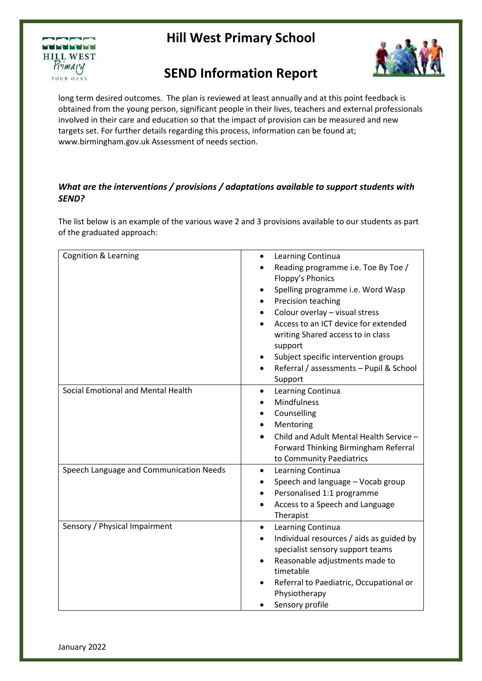



# **SEND Information Report**

long term desired outcomes. The plan is reviewed at least annually and at this point feedback is obtained from the young person, significant people in their lives, teachers and external professionals involved in their care and education so that the impact of provision can be measured and new targets set. For further details regarding this process, information can be found at; www.birmingham.gov.uk Assessment of needs section.

### *What are the interventions / provisions / adaptations available to support students with SEND?*

The list below is an example of the various wave 2 and 3 provisions available to our students as part of the graduated approach:

| <b>Cognition &amp; Learning</b>         | Learning Continua<br>$\bullet$<br>Reading programme i.e. Toe By Toe /<br>Floppy's Phonics<br>Spelling programme i.e. Word Wasp<br>Precision teaching<br>Colour overlay - visual stress<br>Access to an ICT device for extended<br>writing Shared access to in class<br>support |
|-----------------------------------------|--------------------------------------------------------------------------------------------------------------------------------------------------------------------------------------------------------------------------------------------------------------------------------|
|                                         | Subject specific intervention groups<br>Referral / assessments - Pupil & School<br>Support                                                                                                                                                                                     |
| Social Emotional and Mental Health      | Learning Continua<br>٠<br>Mindfulness<br>Counselling<br>Mentoring<br>Child and Adult Mental Health Service -<br>Forward Thinking Birmingham Referral<br>to Community Paediatrics                                                                                               |
| Speech Language and Communication Needs | Learning Continua<br>$\bullet$<br>Speech and language - Vocab group<br>Personalised 1:1 programme<br>Access to a Speech and Language<br>$\bullet$<br>Therapist                                                                                                                 |
| Sensory / Physical Impairment           | Learning Continua<br>$\bullet$<br>Individual resources / aids as guided by<br>$\bullet$<br>specialist sensory support teams<br>Reasonable adjustments made to<br>timetable<br>Referral to Paediatric, Occupational or<br>Physiotherapy<br>Sensory profile                      |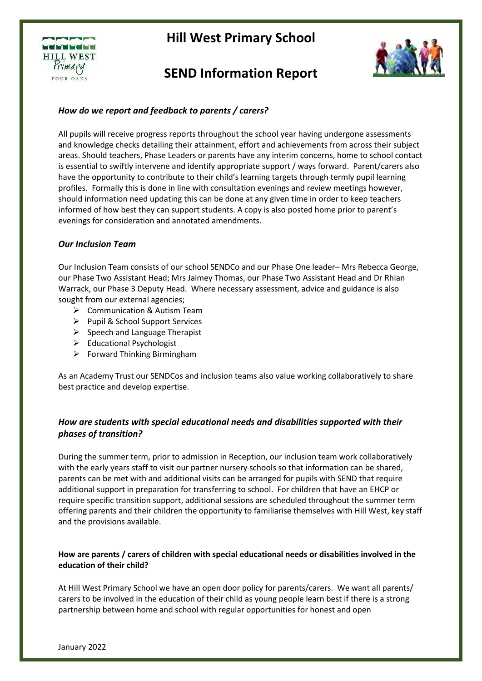

# **SEND Information Report**



### *How do we report and feedback to parents / carers?*

All pupils will receive progress reports throughout the school year having undergone assessments and knowledge checks detailing their attainment, effort and achievements from across their subject areas. Should teachers, Phase Leaders or parents have any interim concerns, home to school contact is essential to swiftly intervene and identify appropriate support / ways forward. Parent/carers also have the opportunity to contribute to their child's learning targets through termly pupil learning profiles. Formally this is done in line with consultation evenings and review meetings however, should information need updating this can be done at any given time in order to keep teachers informed of how best they can support students. A copy is also posted home prior to parent's evenings for consideration and annotated amendments.

#### *Our Inclusion Team*

Our Inclusion Team consists of our school SENDCo and our Phase One leader– Mrs Rebecca George, our Phase Two Assistant Head; Mrs Jaimey Thomas, our Phase Two Assistant Head and Dr Rhian Warrack, our Phase 3 Deputy Head. Where necessary assessment, advice and guidance is also sought from our external agencies;

- **▶ Communication & Autism Team**
- ▶ Pupil & School Support Services
- $\triangleright$  Speech and Language Therapist
- $\triangleright$  Educational Psychologist
- $\triangleright$  Forward Thinking Birmingham

As an Academy Trust our SENDCos and inclusion teams also value working collaboratively to share best practice and develop expertise.

### *How are students with special educational needs and disabilities supported with their phases of transition?*

During the summer term, prior to admission in Reception, our inclusion team work collaboratively with the early years staff to visit our partner nursery schools so that information can be shared, parents can be met with and additional visits can be arranged for pupils with SEND that require additional support in preparation for transferring to school. For children that have an EHCP or require specific transition support, additional sessions are scheduled throughout the summer term offering parents and their children the opportunity to familiarise themselves with Hill West, key staff and the provisions available.

### **How are parents / carers of children with special educational needs or disabilities involved in the education of their child?**

At Hill West Primary School we have an open door policy for parents/carers. We want all parents/ carers to be involved in the education of their child as young people learn best if there is a strong partnership between home and school with regular opportunities for honest and open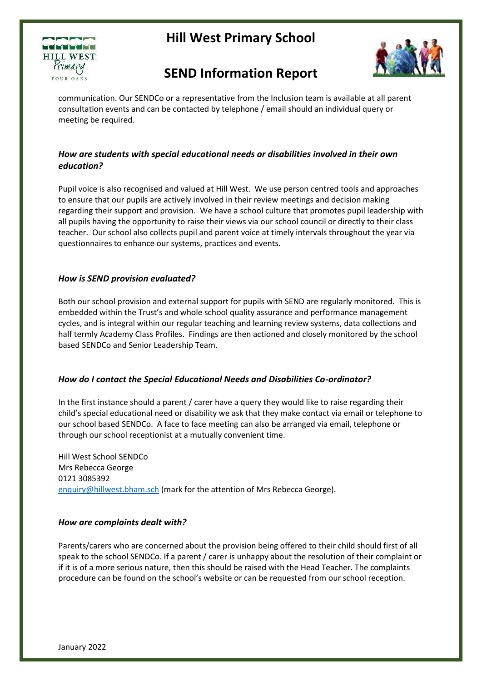



# **SEND Information Report**

communication. Our SENDCo or a representative from the Inclusion team is available at all parent consultation events and can be contacted by telephone / email should an individual query or meeting be required.

### *How are students with special educational needs or disabilities involved in their own education?*

Pupil voice is also recognised and valued at Hill West. We use person centred tools and approaches to ensure that our pupils are actively involved in their review meetings and decision making regarding their support and provision. We have a school culture that promotes pupil leadership with all pupils having the opportunity to raise their views via our school council or directly to their class teacher. Our school also collects pupil and parent voice at timely intervals throughout the year via questionnaires to enhance our systems, practices and events.

### *How is SEND provision evaluated?*

Both our school provision and external support for pupils with SEND are regularly monitored. This is embedded within the Trust's and whole school quality assurance and performance management cycles, and is integral within our regular teaching and learning review systems, data collections and half termly Academy Class Profiles. Findings are then actioned and closely monitored by the school based SENDCo and Senior Leadership Team.

### *How do I contact the Special Educational Needs and Disabilities Co-ordinator?*

In the first instance should a parent / carer have a query they would like to raise regarding their child's special educational need or disability we ask that they make contact via email or telephone to our school based SENDCo. A face to face meeting can also be arranged via email, telephone or through our school receptionist at a mutually convenient time.

Hill West School SENDCo Mrs Rebecca George 0121 3085392 [enquiry@hillwest.bham.sch](mailto:enquiry@hillwest.bham.sch) (mark for the attention of Mrs Rebecca George).

### *How are complaints dealt with?*

Parents/carers who are concerned about the provision being offered to their child should first of all speak to the school SENDCo. If a parent / carer is unhappy about the resolution of their complaint or if it is of a more serious nature, then this should be raised with the Head Teacher. The complaints procedure can be found on the school's website or can be requested from our school reception.